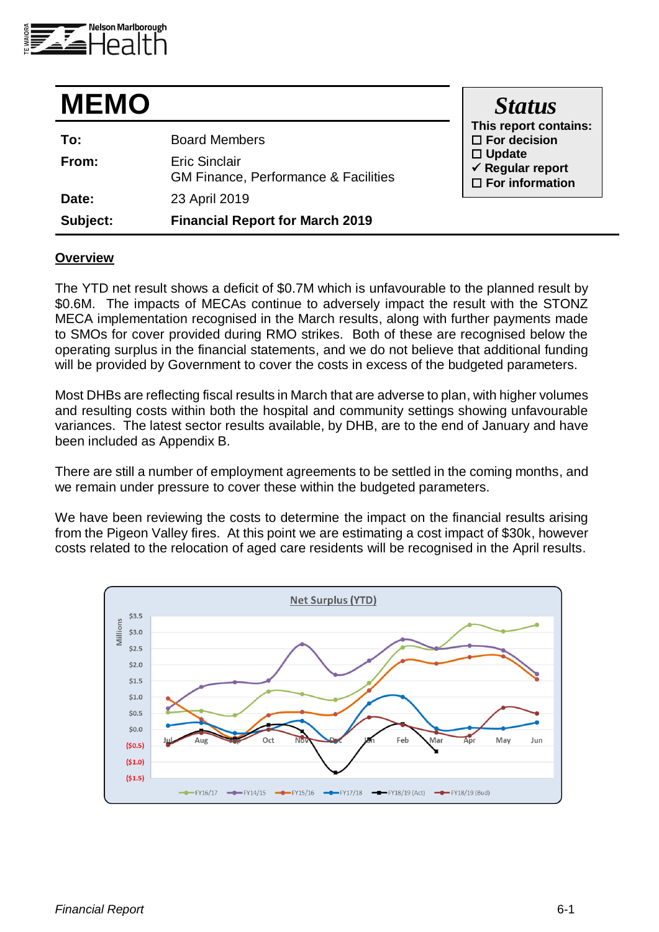

| <b>MEMO</b> |                                                                         | <b>Status</b>                                                             |
|-------------|-------------------------------------------------------------------------|---------------------------------------------------------------------------|
| To:         | <b>Board Members</b>                                                    | This report contains:<br>$\Box$ For decision                              |
| From:       | <b>Eric Sinclair</b><br><b>GM Finance, Performance &amp; Facilities</b> | $\Box$ Update<br>$\checkmark$ Regular report<br>$\square$ For information |
| Date:       | 23 April 2019                                                           |                                                                           |
| Subject:    | <b>Financial Report for March 2019</b>                                  |                                                                           |

#### **Overview**

The YTD net result shows a deficit of \$0.7M which is unfavourable to the planned result by \$0.6M. The impacts of MECAs continue to adversely impact the result with the STONZ MECA implementation recognised in the March results, along with further payments made to SMOs for cover provided during RMO strikes. Both of these are recognised below the operating surplus in the financial statements, and we do not believe that additional funding will be provided by Government to cover the costs in excess of the budgeted parameters.

Most DHBs are reflecting fiscal results in March that are adverse to plan, with higher volumes and resulting costs within both the hospital and community settings showing unfavourable variances. The latest sector results available, by DHB, are to the end of January and have been included as Appendix B.

There are still a number of employment agreements to be settled in the coming months, and we remain under pressure to cover these within the budgeted parameters.

We have been reviewing the costs to determine the impact on the financial results arising from the Pigeon Valley fires. At this point we are estimating a cost impact of \$30k, however costs related to the relocation of aged care residents will be recognised in the April results.

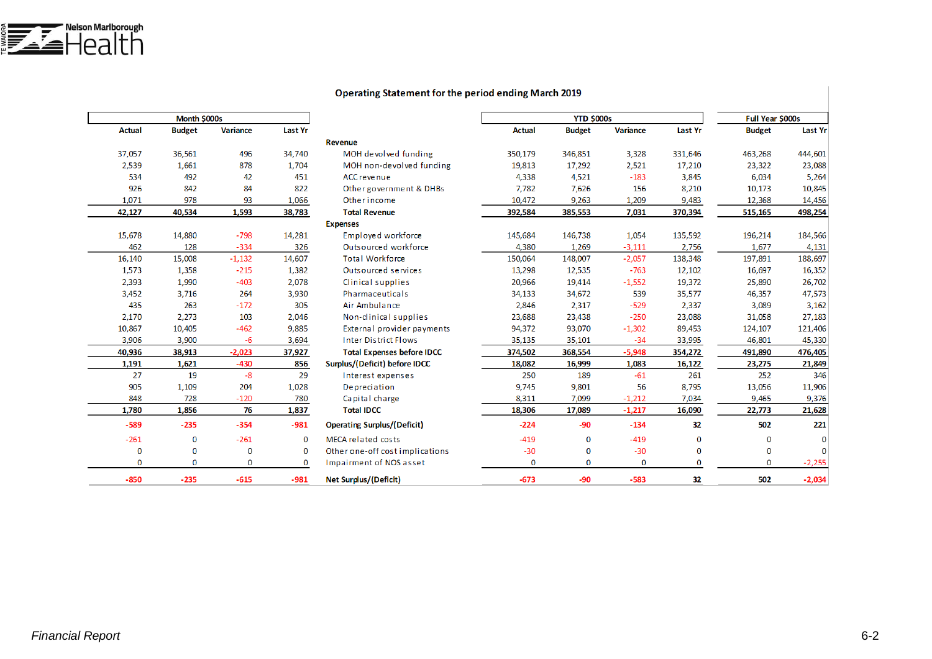| <b>Operating Statement for the period ending March 2019</b> |
|-------------------------------------------------------------|
|-------------------------------------------------------------|

|                                    |                | Month \$000s    |               |               |  |  |  |  |
|------------------------------------|----------------|-----------------|---------------|---------------|--|--|--|--|
|                                    | <b>Last Yr</b> | <b>Variance</b> | <b>Budget</b> | <b>Actual</b> |  |  |  |  |
| <b>Revenue</b>                     |                |                 |               |               |  |  |  |  |
| MOH devolved funding               | 34,740         | 496             | 36,561        | 37,057        |  |  |  |  |
| MOH non-devolved funding           | 1,704          | 878             | 1,661         | 2,539         |  |  |  |  |
| ACC revenue                        | 451            | 42              | 492           | 534           |  |  |  |  |
| Other government & DHBs            | 822            | 84              | 842           | 926           |  |  |  |  |
| Other income                       | 1,066          | 93              | 978           | 1,071         |  |  |  |  |
| <b>Total Revenue</b>               | 38,783         | 1,593           | 40,534        | 42,127        |  |  |  |  |
| <b>Expenses</b>                    |                |                 |               |               |  |  |  |  |
| Employed workforce                 | 14,281         | $-798$          | 14,880        | 15,678        |  |  |  |  |
| Outsourced workforce               | 326            | $-334$          | 128           | 462           |  |  |  |  |
| <b>Total Workforce</b>             | 14,607         | $-1,132$        | 15,008        | 16,140        |  |  |  |  |
| Outsourced services                | 1,382          | $-215$          | 1,358         | 1,573         |  |  |  |  |
| Clinical supplies                  | 2,078          | $-403$          | 1,990         | 2,393         |  |  |  |  |
| Pharmaceuticals                    | 3,930          | 264             | 3,716         | 3,452         |  |  |  |  |
| Air Ambulance                      | 305            | $-172$          | 263           | 435           |  |  |  |  |
| Non-clinical supplies              | 2,046          | 103             | 2,273         | 2,170         |  |  |  |  |
| External provider payments         | 9,885          | $-462$          | 10,405        | 10,867        |  |  |  |  |
| <b>Inter District Flows</b>        | 3,694          | -6              | 3,900         | 3,906         |  |  |  |  |
| <b>Total Expenses before IDCC</b>  | 37,927         | $-2,023$        | 38,913        | 40,936        |  |  |  |  |
| Surplus/(Deficit) before IDCC      | 856            | $-430$          | 1,621         | 1,191         |  |  |  |  |
| Interest expenses                  | 29             | $-8$            | 19            | 27            |  |  |  |  |
| Depreciation                       | 1,028          | 204             | 1,109         | 905           |  |  |  |  |
| Capital charge                     | 780            | $-120$          | 728           | 848           |  |  |  |  |
| <b>Total IDCC</b>                  | 1,837          | 76              | 1,856         | 1,780         |  |  |  |  |
| <b>Operating Surplus/(Deficit)</b> | $-981$         | $-354$          | $-235$        | $-589$        |  |  |  |  |
| MECA related costs                 | $\mathbf{0}$   | $-261$          | 0             | $-261$        |  |  |  |  |
| Other one-off cost implications    | $\mathbf 0$    | 0               | $\bf{0}$      | $\mathbf 0$   |  |  |  |  |
| Impairment of NOS asset            | 0              | 0               | 0             | 0             |  |  |  |  |
| <b>Net Surplus/(Deficit)</b>       | $-981$         | $-615$          | $-235$        | $-850$        |  |  |  |  |
|                                    |                |                 |               |               |  |  |  |  |

|             |               | <b>YTD \$000s</b> |                 |                | Full Year \$000s |                |
|-------------|---------------|-------------------|-----------------|----------------|------------------|----------------|
|             | <b>Actual</b> | <b>Budget</b>     | <b>Variance</b> | <b>Last Yr</b> | <b>Budget</b>    | <b>Last Yr</b> |
|             |               |                   |                 |                |                  |                |
| funding     | 350,179       | 346,851           | 3,328           | 331,646        | 463,268          | 444,601        |
| ved funding | 19,813        | 17,292            | 2,521           | 17,210         | 23,322           | 23,088         |
|             | 4,338         | 4,521             | $-183$          | 3,845          | 6,034            | 5,264          |
| ent & DHBs  | 7,782         | 7,626             | 156             | 8,210          | 10,173           | 10,845         |
|             | 10,472        | 9,263             | 1,209           | 9,483          | 12,368           | 14,456         |
|             | 392,584       | 385,553           | 7,031           | 370,394        | 515,165          | 498,254        |
|             |               |                   |                 |                |                  |                |
| force       | 145,684       | 146,738           | 1,054           | 135,592        | 196,214          | 184,566        |
| rkforce     | 4,380         | 1,269             | $-3,111$        | 2,756          | 1,677            | 4,131          |
|             | 150,064       | 148,007           | $-2,057$        | 138,348        | 197,891          | 188,697        |
| vice s      | 13,298        | 12,535            | $-763$          | 12,102         | 16,697           | 16,352         |
| 9S          | 20,966        | 19,414            | $-1,552$        | 19,372         | 25,890           | 26,702         |
| ls          | 34,133        | 34,672            | 539             | 35,577         | 46,357           | 47,573         |
|             | 2,846         | 2,317             | $-529$          | 2,337          | 3,089            | 3,162          |
| pplies      | 23,688        | 23,438            | $-250$          | 23,088         | 31,058           | 27,183         |
| er payments | 94,372        | 93,070            | $-1,302$        | 89,453         | 124,107          | 121,406        |
| ows         | 35,135        | 35,101            | $-34$           | 33,995         | 46,801           | 45,330         |
| efore IDCC  | 374,502       | 368,554           | $-5,948$        | 354,272        | 491,890          | 476,405        |
| re IDCC     | 18,082        | 16,999            | 1,083           | 16,122         | 23,275           | 21,849         |
| es          | 250           | 189               | $-61$           | 261            | 252              | 346            |
|             | 9,745         | 9,801             | 56              | 8,795          | 13,056           | 11,906         |
|             | 8,311         | 7,099             | $-1,212$        | 7,034          | 9,465            | 9,376          |
|             | 18,306        | 17,089            | $-1,217$        | 16,090         | 22,773           | 21,628         |
| eficit)     | $-224$        | -90               | $-134$          | 32             | 502              | 221            |
|             | $-419$        | 0                 | $-419$          | $\bf{0}$       | $\bf{0}$         | 0              |
| mplications | $-30$         | 0                 | $-30$           | 0              | $\bf{0}$         | 0              |
| asset       | 0             | 0                 | 0               | $\mathbf{0}$   | 0                | $-2,255$       |
|             | $-673$        | $-90$             | $-583$          | 32             | 502              | $-2,034$       |
|             |               |                   |                 |                |                  |                |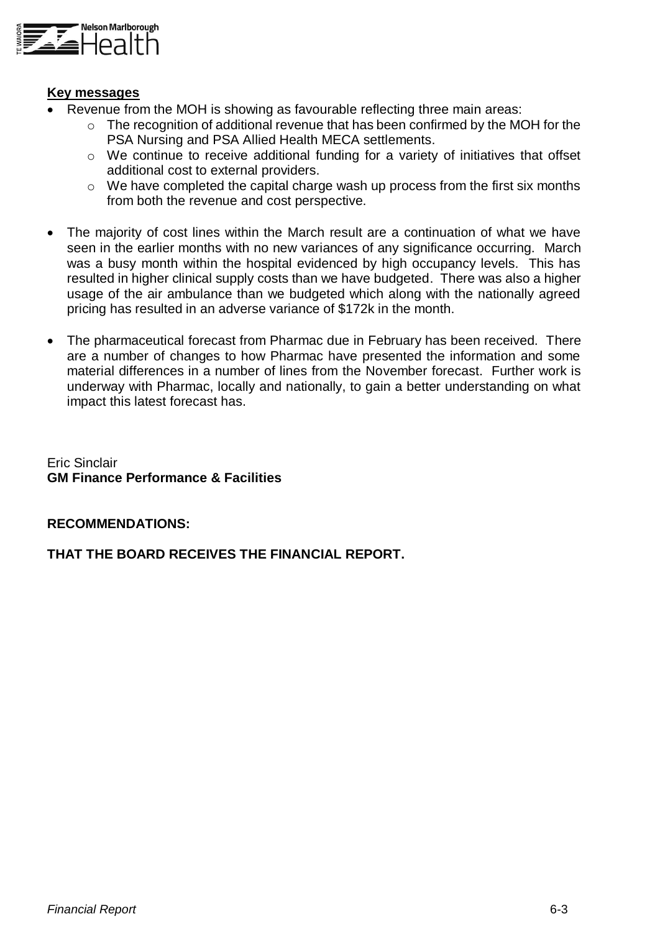

### **Key messages**

- Revenue from the MOH is showing as favourable reflecting three main areas:
	- o The recognition of additional revenue that has been confirmed by the MOH for the PSA Nursing and PSA Allied Health MECA settlements.
	- o We continue to receive additional funding for a variety of initiatives that offset additional cost to external providers.
	- o We have completed the capital charge wash up process from the first six months from both the revenue and cost perspective.
- The majority of cost lines within the March result are a continuation of what we have seen in the earlier months with no new variances of any significance occurring. March was a busy month within the hospital evidenced by high occupancy levels. This has resulted in higher clinical supply costs than we have budgeted. There was also a higher usage of the air ambulance than we budgeted which along with the nationally agreed pricing has resulted in an adverse variance of \$172k in the month.
- The pharmaceutical forecast from Pharmac due in February has been received. There are a number of changes to how Pharmac have presented the information and some material differences in a number of lines from the November forecast. Further work is underway with Pharmac, locally and nationally, to gain a better understanding on what impact this latest forecast has.

Eric Sinclair **GM Finance Performance & Facilities**

### **RECOMMENDATIONS:**

### **THAT THE BOARD RECEIVES THE FINANCIAL REPORT.**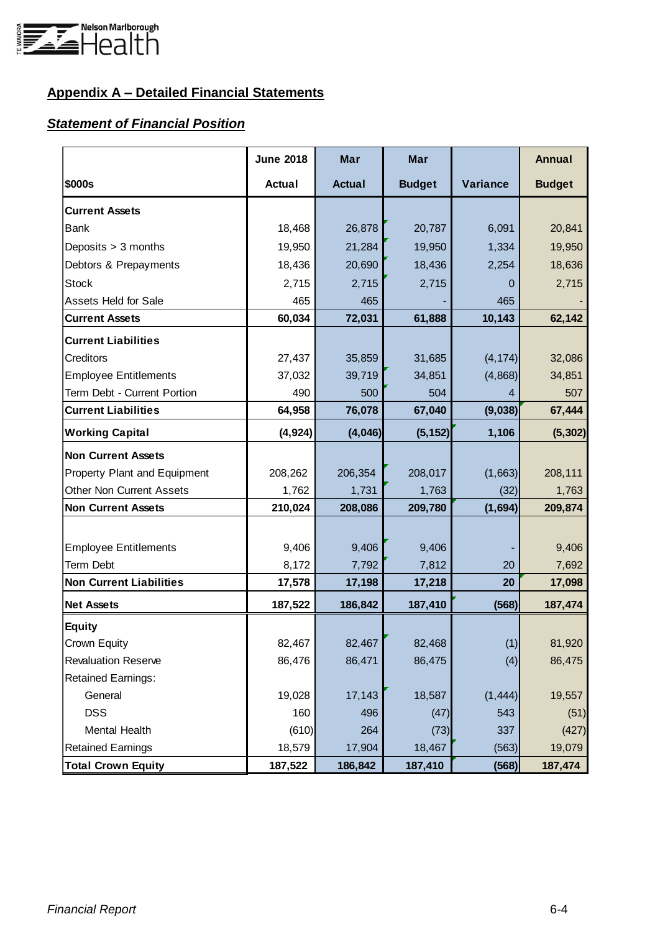

# **Appendix A – Detailed Financial Statements**

## *Statement of Financial Position*

|                                 | <b>June 2018</b> | Mar           | <b>Mar</b>    |          | <b>Annual</b> |
|---------------------------------|------------------|---------------|---------------|----------|---------------|
| \$000s                          | <b>Actual</b>    | <b>Actual</b> | <b>Budget</b> | Variance | <b>Budget</b> |
| <b>Current Assets</b>           |                  |               |               |          |               |
| <b>Bank</b>                     | 18,468           | 26,878        | 20,787        | 6,091    | 20,841        |
| Deposits > 3 months             | 19,950           | 21,284        | 19,950        | 1,334    | 19,950        |
| Debtors & Prepayments           | 18,436           | 20,690        | 18,436        | 2,254    | 18,636        |
| <b>Stock</b>                    | 2,715            | 2,715         | 2,715         | 0        | 2,715         |
| <b>Assets Held for Sale</b>     | 465              | 465           |               | 465      |               |
| <b>Current Assets</b>           | 60,034           | 72,031        | 61,888        | 10,143   | 62,142        |
| <b>Current Liabilities</b>      |                  |               |               |          |               |
| Creditors                       | 27,437           | 35,859        | 31,685        | (4, 174) | 32,086        |
| <b>Employee Entitlements</b>    | 37,032           | 39,719        | 34,851        | (4,868)  | 34,851        |
| Term Debt - Current Portion     | 490              | 500           | 504           |          | 507           |
| <b>Current Liabilities</b>      | 64,958           | 76,078        | 67,040        | (9,038)  | 67,444        |
| <b>Working Capital</b>          | (4, 924)         | (4,046)       | (5, 152)      | 1,106    | (5, 302)      |
| <b>Non Current Assets</b>       |                  |               |               |          |               |
| Property Plant and Equipment    | 208,262          | 206,354       | 208,017       | (1,663)  | 208,111       |
| <b>Other Non Current Assets</b> | 1,762            | 1,731         | 1,763         | (32)     | 1,763         |
| <b>Non Current Assets</b>       | 210,024          | 208,086       | 209,780       | (1,694)  | 209,874       |
|                                 |                  |               |               |          |               |
| <b>Employee Entitlements</b>    | 9,406            | 9,406         | 9,406         |          | 9,406         |
| Term Debt                       | 8,172            | 7,792         | 7,812         | 20       | 7,692         |
| <b>Non Current Liabilities</b>  | 17,578           | 17,198        | 17,218        | 20       | 17,098        |
| <b>Net Assets</b>               | 187,522          | 186,842       | 187,410       | (568)    | 187,474       |
| <b>Equity</b>                   |                  |               |               |          |               |
| Crown Equity                    | 82,467           | 82,467        | 82,468        | (1)      | 81,920        |
| <b>Revaluation Reserve</b>      | 86,476           | 86,471        | 86,475        | (4)      | 86,475        |
| <b>Retained Earnings:</b>       |                  |               |               |          |               |
| General                         | 19,028           | 17,143        | 18,587        | (1, 444) | 19,557        |
| <b>DSS</b>                      | 160              | 496           | (47)          | 543      | (51)          |
| Mental Health                   | (610)            | 264           | (73)          | 337      | (427)         |
| <b>Retained Earnings</b>        | 18,579           | 17,904        | 18,467        | (563)    | 19,079        |
| <b>Total Crown Equity</b>       | 187,522          | 186,842       | 187,410       | (568)    | 187,474       |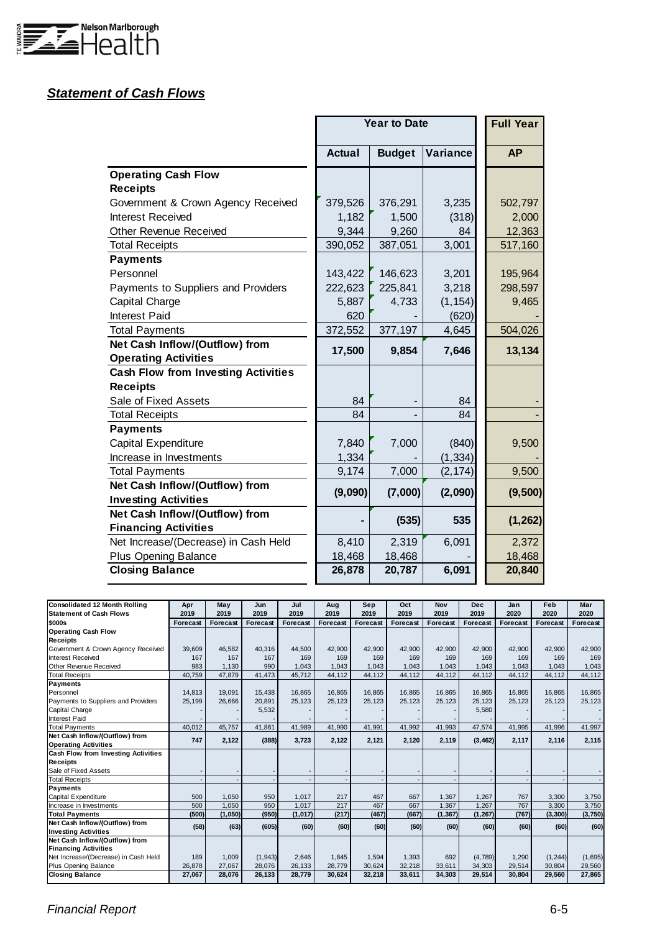

# *Statement of Cash Flows*

|                                            |               | <b>Year to Date</b> |          | <b>Full Year</b> |
|--------------------------------------------|---------------|---------------------|----------|------------------|
|                                            | <b>Actual</b> | <b>Budget</b>       | Variance | <b>AP</b>        |
| <b>Operating Cash Flow</b>                 |               |                     |          |                  |
| <b>Receipts</b>                            |               |                     |          |                  |
| Government & Crown Agency Received         | 379,526       | 376,291             | 3,235    | 502,797          |
| <b>Interest Received</b>                   | 1,182         | 1,500               | (318)    | 2,000            |
| <b>Other Revenue Received</b>              | 9,344         | 9,260               | 84       | 12,363           |
| <b>Total Receipts</b>                      | 390,052       | 387,051             | 3,001    | 517,160          |
| <b>Payments</b>                            |               |                     |          |                  |
| Personnel                                  | 143,422       | 146,623             | 3,201    | 195,964          |
| Payments to Suppliers and Providers        | 222,623       | 225,841             | 3,218    | 298,597          |
| Capital Charge                             | 5,887         | 4,733               | (1, 154) | 9,465            |
| Interest Paid                              | 620           |                     | (620)    |                  |
| <b>Total Payments</b>                      | 372,552       | 377,197             | 4,645    | 504,026          |
| Net Cash Inflow/(Outflow) from             | 17,500        | 9,854               | 7,646    | 13,134           |
| <b>Operating Activities</b>                |               |                     |          |                  |
| <b>Cash Flow from Investing Activities</b> |               |                     |          |                  |
| <b>Receipts</b>                            |               |                     |          |                  |
| Sale of Fixed Assets                       | 84            |                     | 84       |                  |
| <b>Total Receipts</b>                      | 84            |                     | 84       |                  |
| <b>Payments</b>                            |               |                     |          |                  |
| Capital Expenditure                        | 7,840         | 7,000               | (840)    | 9,500            |
| Increase in Investments                    | 1,334         |                     | (1, 334) |                  |
| <b>Total Payments</b>                      | 9,174         | 7,000               | (2, 174) | 9,500            |
| Net Cash Inflow/(Outflow) from             | (9,090)       | (7,000)             | (2,090)  | (9,500)          |
| <b>Investing Activities</b>                |               |                     |          |                  |
| Net Cash Inflow/(Outflow) from             |               | (535)               | 535      | (1, 262)         |
| <b>Financing Activities</b>                |               |                     |          |                  |
| Net Increase/(Decrease) in Cash Held       | 8,410         | 2,319               | 6,091    | 2,372            |
| <b>Plus Opening Balance</b>                | 18,468        | 18,468              |          | 18,468           |
| <b>Closing Balance</b>                     | 26,878        | 20,787              | 6,091    | 20,840           |

| <b>Consolidated 12 Month Rolling</b> | Apr      | May      | Jun             | Jul             | Aug             | Sep             | Oct      | <b>Nov</b> | <b>Dec</b> | Jan      | Feb             | Mar      |
|--------------------------------------|----------|----------|-----------------|-----------------|-----------------|-----------------|----------|------------|------------|----------|-----------------|----------|
| <b>Statement of Cash Flows</b>       | 2019     | 2019     | 2019            | 2019            | 2019            | 2019            | 2019     | 2019       | 2019       | 2020     | 2020            | 2020     |
| \$000s                               | Forecast | Forecast | <b>Forecast</b> | <b>Forecast</b> | <b>Forecast</b> | <b>Forecast</b> | Forecast | Forecast   | Forecast   | Forecast | <b>Forecast</b> | Forecast |
| <b>Operating Cash Flow</b>           |          |          |                 |                 |                 |                 |          |            |            |          |                 |          |
| <b>Receipts</b>                      |          |          |                 |                 |                 |                 |          |            |            |          |                 |          |
| Government & Crown Agency Received   | 39,609   | 46.582   | 40.316          | 44.500          | 42.900          | 42.900          | 42.900   | 42.900     | 42.900     | 42.900   | 42.900          | 42.900   |
| Interest Received                    | 167      | 167      | 167             | 169             | 169             | 169             | 169      | 169        | 169        | 169      | 169             | 169      |
| Other Revenue Received               | 983      | 1.130    | 990             | 1.043           | 1.043           | 1.043           | 1.043    | 1.043      | 1.043      | 1,043    | 1.043           | 1,043    |
| <b>Total Receipts</b>                | 40.759   | 47,879   | 41,473          | 45,712          | 44,112          | 44,112          | 44,112   | 44,112     | 44,112     | 44,112   | 44,112          | 44,112   |
| <b>Payments</b>                      |          |          |                 |                 |                 |                 |          |            |            |          |                 |          |
| Personnel                            | 14,813   | 19,091   | 15,438          | 16.865          | 16.865          | 16.865          | 16.865   | 16.865     | 16.865     | 16.865   | 16.865          | 16,865   |
| Payments to Suppliers and Providers  | 25,199   | 26,666   | 20,891          | 25,123          | 25,123          | 25,123          | 25,123   | 25,123     | 25,123     | 25,123   | 25,123          | 25,123   |
| Capital Charge                       |          |          | 5,532           |                 |                 |                 |          |            | 5,580      |          |                 |          |
| <b>Interest Paid</b>                 |          |          |                 |                 |                 |                 |          |            |            |          |                 |          |
| <b>Total Payments</b>                | 40.012   | 45.757   | 41.861          | 41,989          | 41.990          | 41.991          | 41.992   | 41,993     | 47,574     | 41,995   | 41,996          | 41,997   |
| Net Cash Inflow/(Outflow) from       | 747      | 2,122    | (388)           | 3,723           | 2,122           | 2,121           | 2,120    | 2,119      | (3, 462)   | 2,117    | 2,116           | 2,115    |
| <b>Operating Activities</b>          |          |          |                 |                 |                 |                 |          |            |            |          |                 |          |
| Cash Flow from Investing Activities  |          |          |                 |                 |                 |                 |          |            |            |          |                 |          |
| <b>Receipts</b>                      |          |          |                 |                 |                 |                 |          |            |            |          |                 |          |
| Sale of Fixed Assets                 |          |          |                 |                 |                 |                 |          |            |            |          |                 |          |
| <b>Total Receipts</b>                |          |          |                 |                 |                 |                 |          |            |            |          |                 |          |
| <b>Payments</b>                      |          |          |                 |                 |                 |                 |          |            |            |          |                 |          |
| Capital Expenditure                  | 500      | 1,050    | 950             | 1,017           | 217             | 467             | 667      | 1,367      | 1,267      | 767      | 3,300           | 3,750    |
| Increase in Investments              | 500      | 1.050    | 950             | 1.017           | 217             | 467             | 667      | 1,367      | 1.267      | 767      | 3.300           | 3,750    |
| <b>Total Payments</b>                | (500)    | (1,050)  | (950)           | (1,017)         | (217)           | (467)           | (667)    | (1, 367)   | (1, 267)   | (767)    | (3, 300)        | (3,750)  |
| Net Cash Inflow/(Outflow) from       | (58)     | (63)     | (605)           | (60)            | (60)            | (60)            | (60)     | (60)       | (60)       | (60)     | (60)            | (60)     |
| <b>Investing Activities</b>          |          |          |                 |                 |                 |                 |          |            |            |          |                 |          |
| Net Cash Inflow/(Outflow) from       |          |          |                 |                 |                 |                 |          |            |            |          |                 |          |
| <b>Financing Activities</b>          |          |          |                 |                 |                 |                 |          |            |            |          |                 |          |
| Net Increase/(Decrease) in Cash Held | 189      | 1.009    | (1, 943)        | 2.646           | 1.845           | 1.594           | 1.393    | 692        | (4,789)    | 1,290    | (1, 244)        | (1,695)  |
| Plus Opening Balance                 | 26,878   | 27.067   | 28,076          | 26.133          | 28,779          | 30,624          | 32,218   | 33,611     | 34,303     | 29.514   | 30.804          | 29,560   |
| <b>Closing Balance</b>               | 27,067   | 28,076   | 26,133          | 28,779          | 30,624          | 32,218          | 33,611   | 34,303     | 29,514     | 30,804   | 29,560          | 27,865   |

### *Financial Report* 6-5